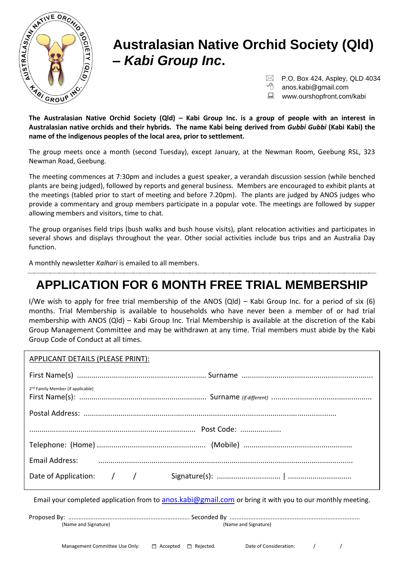

#### **Australasian Native Orchid Society (Qld) –** *Kabi Group Inc***.**

 $\boxtimes$  P.O. Box 424, Aspley, QLD 4034

anos.kabi@gmail.com

**WWW.ourshopfront.com/kabi** 

**The Australasian Native Orchid Society (Qld) – Kabi Group Inc. is a group of people with an interest in Australasian native orchids and their hybrids. The name Kabi being derived from** *Gubbi Gubbi* **(Kabi Kabi) the name of the indigenous peoples of the local area, prior to settlement.**

The group meets once a month (second Tuesday), except January, at the Newman Room, Geebung RSL, 323 Newman Road, Geebung.

The meeting commences at 7:30pm and includes a guest speaker, a verandah discussion session (while benched plants are being judged), followed by reports and general business. Members are encouraged to exhibit plants at the meetings (tabled prior to start of meeting and before 7.20pm). The plants are judged by ANOS judges who provide a commentary and group members participate in a popular vote. The meetings are followed by supper allowing members and visitors, time to chat.

The group organises field trips (bush walks and bush house visits), plant relocation activities and participates in several shows and displays throughout the year. Other social activities include bus trips and an Australia Day function.

A monthly newsletter *Kalhari* is emailed to all members.

#### **APPLICATION FOR 6 MONTH FREE TRIAL MEMBERSHIP**

I/We wish to apply for free trial membership of the ANOS (Qld) – Kabi Group Inc. for a period of six (6) months. Trial Membership is available to households who have never been a member of or had trial membership with ANOS (Qld) – Kabi Group Inc. Trial Membership is available at the discretion of the Kabi Group Management Committee and may be withdrawn at any time. Trial members must abide by the Kabi Group Code of Conduct at all times.

| APPLICANT DETAILS (PLEASE PRINT):             |                                                                                                                |
|-----------------------------------------------|----------------------------------------------------------------------------------------------------------------|
|                                               |                                                                                                                |
| 2 <sup>nd</sup> Family Member (if applicable) |                                                                                                                |
|                                               |                                                                                                                |
|                                               |                                                                                                                |
|                                               |                                                                                                                |
|                                               | Email Address: использование и политических политических политических политических политических политических п |
|                                               |                                                                                                                |

Email your completed application from to [anos.kabi@gmail.com](mailto:anos.kabi@gmail.com) or bring it with you to our monthly meeting.

Proposed By: ....................................................................... Seconded By ............................................................................ (Name and Signature) (Name and Signature)